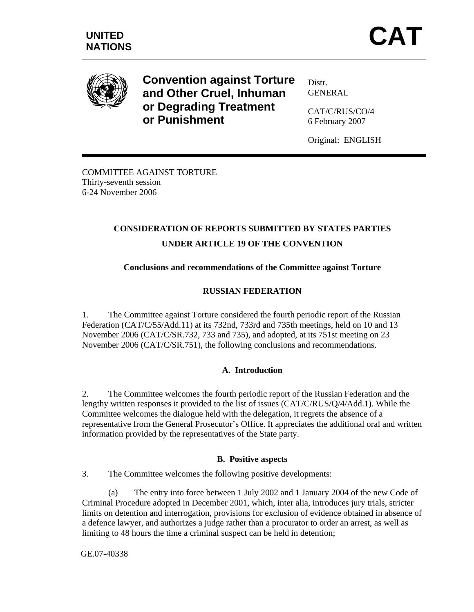

**Convention against Torture and Other Cruel, Inhuman or Degrading Treatment or Punishment** 

Distr. GENERAL

CAT/C/RUS/CO/4 6 February 2007

Original: ENGLISH

COMMITTEE AGAINST TORTURE Thirty-seventh session 6-24 November 2006

# **CONSIDERATION OF REPORTS SUBMITTED BY STATES PARTIES UNDER ARTICLE 19 OF THE CONVENTION**

# **Conclusions and recommendations of the Committee against Torture**

## **RUSSIAN FEDERATION**

1. The Committee against Torture considered the fourth periodic report of the Russian Federation (CAT/C/55/Add.11) at its 732nd, 733rd and 735th meetings, held on 10 and 13 November 2006 (CAT/C/SR.732, 733 and 735), and adopted, at its 751st meeting on 23 November 2006 (CAT/C/SR.751), the following conclusions and recommendations.

### **A. Introduction**

2. The Committee welcomes the fourth periodic report of the Russian Federation and the lengthy written responses it provided to the list of issues (CAT/C/RUS/Q/4/Add.1). While the Committee welcomes the dialogue held with the delegation, it regrets the absence of a representative from the General Prosecutor's Office. It appreciates the additional oral and written information provided by the representatives of the State party.

### **B. Positive aspects**

3. The Committee welcomes the following positive developments:

(a) The entry into force between 1 July 2002 and 1 January 2004 of the new Code of Criminal Procedure adopted in December 2001, which, inter alia, introduces jury trials, stricter limits on detention and interrogation, provisions for exclusion of evidence obtained in absence of a defence lawyer, and authorizes a judge rather than a procurator to order an arrest, as well as limiting to 48 hours the time a criminal suspect can be held in detention;

GE.07-40338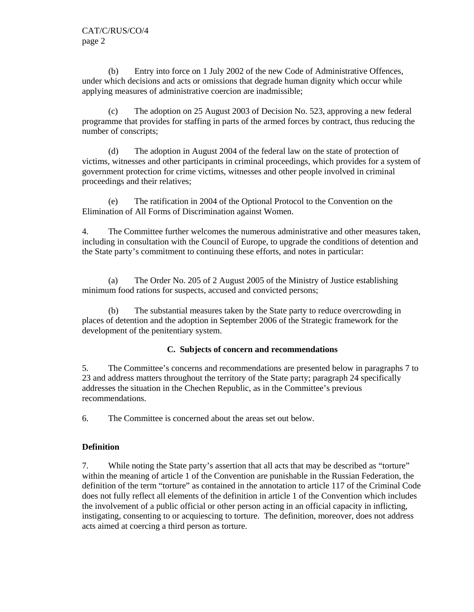(b) Entry into force on 1 July 2002 of the new Code of Administrative Offences, under which decisions and acts or omissions that degrade human dignity which occur while applying measures of administrative coercion are inadmissible;

(c) The adoption on 25 August 2003 of Decision No. 523, approving a new federal programme that provides for staffing in parts of the armed forces by contract, thus reducing the number of conscripts;

(d) The adoption in August 2004 of the federal law on the state of protection of victims, witnesses and other participants in criminal proceedings, which provides for a system of government protection for crime victims, witnesses and other people involved in criminal proceedings and their relatives;

(e) The ratification in 2004 of the Optional Protocol to the Convention on the Elimination of All Forms of Discrimination against Women.

4. The Committee further welcomes the numerous administrative and other measures taken, including in consultation with the Council of Europe, to upgrade the conditions of detention and the State party's commitment to continuing these efforts, and notes in particular:

(a) The Order No. 205 of 2 August 2005 of the Ministry of Justice establishing minimum food rations for suspects, accused and convicted persons;

(b) The substantial measures taken by the State party to reduce overcrowding in places of detention and the adoption in September 2006 of the Strategic framework for the development of the penitentiary system.

### **C. Subjects of concern and recommendations**

5. The Committee's concerns and recommendations are presented below in paragraphs 7 to 23 and address matters throughout the territory of the State party; paragraph 24 specifically addresses the situation in the Chechen Republic, as in the Committee's previous recommendations.

6. The Committee is concerned about the areas set out below.

### **Definition**

7. While noting the State party's assertion that all acts that may be described as "torture" within the meaning of article 1 of the Convention are punishable in the Russian Federation, the definition of the term "torture" as contained in the annotation to article 117 of the Criminal Code does not fully reflect all elements of the definition in article 1 of the Convention which includes the involvement of a public official or other person acting in an official capacity in inflicting, instigating, consenting to or acquiescing to torture. The definition, moreover, does not address acts aimed at coercing a third person as torture.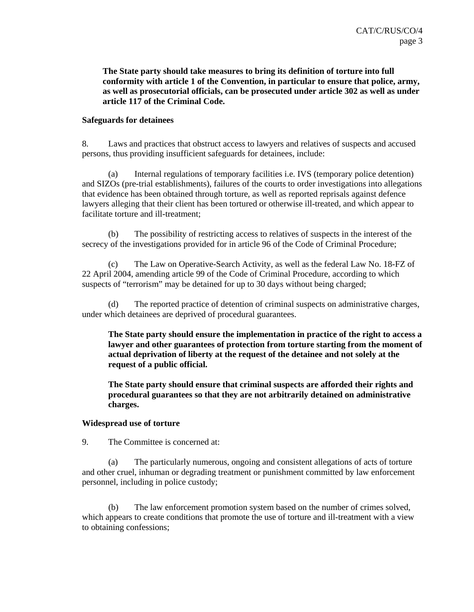**The State party should take measures to bring its definition of torture into full conformity with article 1 of the Convention, in particular to ensure that police, army, as well as prosecutorial officials, can be prosecuted under article 302 as well as under article 117 of the Criminal Code.** 

#### **Safeguards for detainees**

8. Laws and practices that obstruct access to lawyers and relatives of suspects and accused persons, thus providing insufficient safeguards for detainees, include:

(a) Internal regulations of temporary facilities i.e. IVS (temporary police detention) and SIZOs (pre-trial establishments), failures of the courts to order investigations into allegations that evidence has been obtained through torture, as well as reported reprisals against defence lawyers alleging that their client has been tortured or otherwise ill-treated, and which appear to facilitate torture and ill-treatment;

(b) The possibility of restricting access to relatives of suspects in the interest of the secrecy of the investigations provided for in article 96 of the Code of Criminal Procedure;

(c) The Law on Operative-Search Activity, as well as the federal Law No. 18-FZ of 22 April 2004, amending article 99 of the Code of Criminal Procedure, according to which suspects of "terrorism" may be detained for up to 30 days without being charged;

(d) The reported practice of detention of criminal suspects on administrative charges, under which detainees are deprived of procedural guarantees.

**The State party should ensure the implementation in practice of the right to access a lawyer and other guarantees of protection from torture starting from the moment of actual deprivation of liberty at the request of the detainee and not solely at the request of a public official.** 

**The State party should ensure that criminal suspects are afforded their rights and procedural guarantees so that they are not arbitrarily detained on administrative charges.** 

#### **Widespread use of torture**

9. The Committee is concerned at:

(a) The particularly numerous, ongoing and consistent allegations of acts of torture and other cruel, inhuman or degrading treatment or punishment committed by law enforcement personnel, including in police custody;

(b) The law enforcement promotion system based on the number of crimes solved, which appears to create conditions that promote the use of torture and ill-treatment with a view to obtaining confessions;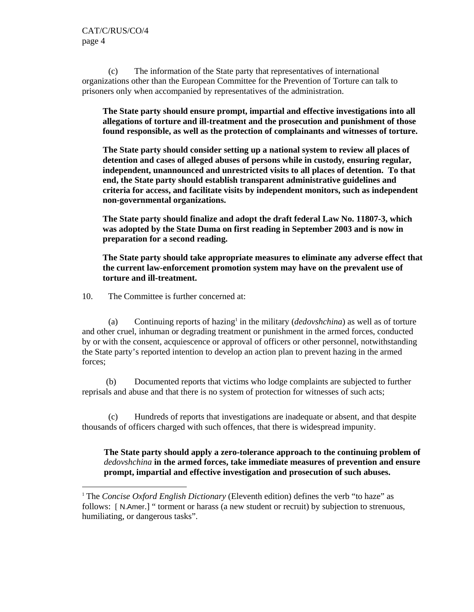(c) The information of the State party that representatives of international organizations other than the European Committee for the Prevention of Torture can talk to prisoners only when accompanied by representatives of the administration.

**The State party should ensure prompt, impartial and effective investigations into all allegations of torture and ill-treatment and the prosecution and punishment of those found responsible, as well as the protection of complainants and witnesses of torture.** 

**The State party should consider setting up a national system to review all places of detention and cases of alleged abuses of persons while in custody***,* **ensuring regular, independent, unannounced and unrestricted visits to all places of detention. To that end, the State party should establish transparent administrative guidelines and criteria for access, and facilitate visits by independent monitors, such as independent non-governmental organizations.** 

**The State party should finalize and adopt the draft federal Law No. 11807-3, which was adopted by the State Duma on first reading in September 2003 and is now in preparation for a second reading.** 

**The State party should take appropriate measures to eliminate any adverse effect that the current law-enforcement promotion system may have on the prevalent use of torture and ill-treatment.** 

10. The Committee is further concerned at:

 $\overline{a}$ 

(a) Continuing reports of hazing1 in the military (*dedovshchina*) as well as of torture and other cruel, inhuman or degrading treatment or punishment in the armed forces, conducted by or with the consent, acquiescence or approval of officers or other personnel, notwithstanding the State party's reported intention to develop an action plan to prevent hazing in the armed forces;

(b) Documented reports that victims who lodge complaints are subjected to further reprisals and abuse and that there is no system of protection for witnesses of such acts;

(c) Hundreds of reports that investigations are inadequate or absent, and that despite thousands of officers charged with such offences, that there is widespread impunity.

**The State party should apply a zero-tolerance approach to the continuing problem of**  *dedovshchina* **in the armed forces, take immediate measures of prevention and ensure prompt, impartial and effective investigation and prosecution of such abuses.** 

<sup>&</sup>lt;sup>1</sup> The *Concise Oxford English Dictionary* (Eleventh edition) defines the verb "to haze" as follows: [ N.Amer.] " torment or harass (a new student or recruit) by subjection to strenuous, humiliating, or dangerous tasks".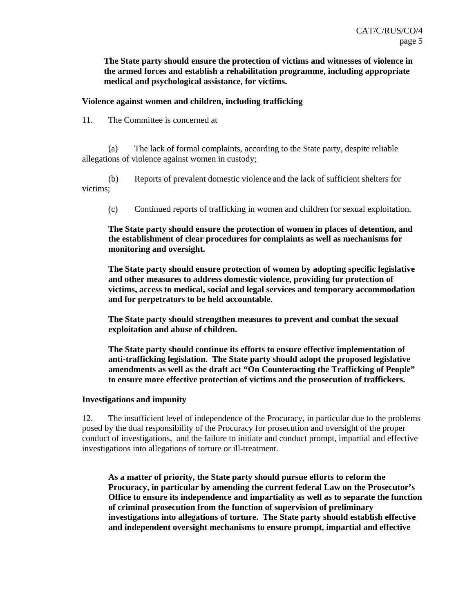**The State party should ensure the protection of victims and witnesses of violence in the armed forces and establish a rehabilitation programme, including appropriate medical and psychological assistance, for victims.** 

### **Violence against women and children, including trafficking**

11. The Committee is concerned at

(a) The lack of formal complaints, according to the State party, despite reliable allegations of violence against women in custody;

(b) Reports of prevalent domestic violence and the lack of sufficient shelters for victims;

(c) Continued reports of trafficking in women and children for sexual exploitation.

**The State party should ensure the protection of women in places of detention, and the establishment of clear procedures for complaints as well as mechanisms for monitoring and oversight.** 

**The State party should ensure protection of women by adopting specific legislative and other measures to address domestic violence, providing for protection of victims, access to medical, social and legal services and temporary accommodation and for perpetrators to be held accountable.** 

**The State party should strengthen measures to prevent and combat the sexual exploitation and abuse of children.** 

**The State party should continue its efforts to ensure effective implementation of anti-trafficking legislation. The State party should adopt the proposed legislative amendments as well as the draft act "On Counteracting the Trafficking of People" to ensure more effective protection of victims and the prosecution of traffickers.** 

#### **Investigations and impunity**

12. The insufficient level of independence of the Procuracy, in particular due to the problems posed by the dual responsibility of the Procuracy for prosecution and oversight of the proper conduct of investigations, and the failure to initiate and conduct prompt, impartial and effective investigations into allegations of torture or ill-treatment.

**As a matter of priority, the State party should pursue efforts to reform the Procuracy, in particular by amending the current federal Law on the Prosecutor's Office to ensure its independence and impartiality as well as to separate the function of criminal prosecution from the function of supervision of preliminary investigations into allegations of torture. The State party should establish effective and independent oversight mechanisms to ensure prompt, impartial and effective**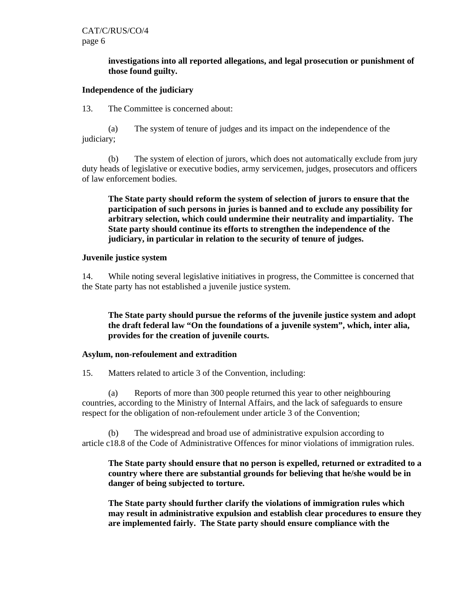## **investigations into all reported allegations, and legal prosecution or punishment of those found guilty.**

## **Independence of the judiciary**

13. The Committee is concerned about:

(a) The system of tenure of judges and its impact on the independence of the judiciary;

(b) The system of election of jurors, which does not automatically exclude from jury duty heads of legislative or executive bodies, army servicemen, judges, prosecutors and officers of law enforcement bodies.

**The State party should reform the system of selection of jurors to ensure that the participation of such persons in juries is banned and to exclude any possibility for arbitrary selection, which could undermine their neutrality and impartiality. The State party should continue its efforts to strengthen the independence of the judiciary, in particular in relation to the security of tenure of judges.** 

### **Juvenile justice system**

14. While noting several legislative initiatives in progress, the Committee is concerned that the State party has not established a juvenile justice system.

 **The State party should pursue the reforms of the juvenile justice system and adopt the draft federal law "On the foundations of a juvenile system", which, inter alia, provides for the creation of juvenile courts.** 

### **Asylum, non-refoulement and extradition**

15. Matters related to article 3 of the Convention, including:

(a) Reports of more than 300 people returned this year to other neighbouring countries, according to the Ministry of Internal Affairs, and the lack of safeguards to ensure respect for the obligation of non-refoulement under article 3 of the Convention;

(b) The widespread and broad use of administrative expulsion according to article c18.8 of the Code of Administrative Offences for minor violations of immigration rules.

# **The State party should ensure that no person is expelled, returned or extradited to a country where there are substantial grounds for believing that he/she would be in danger of being subjected to torture.**

 **The State party should further clarify the violations of immigration rules which may result in administrative expulsion and establish clear procedures to ensure they are implemented fairly. The State party should ensure compliance with the**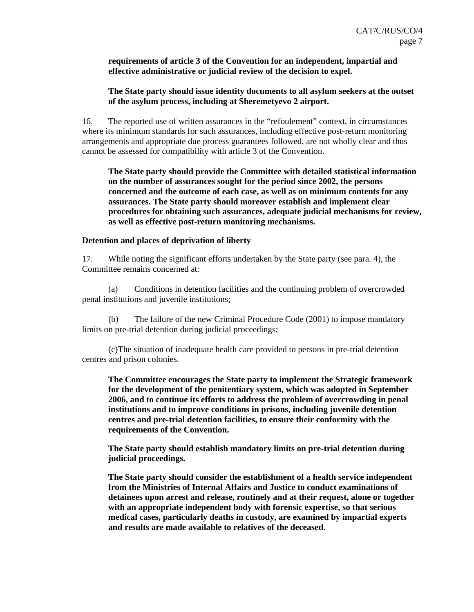**requirements of article 3 of the Convention for an independent, impartial and effective administrative or judicial review of the decision to expel.** 

# **The State party should issue identity documents to all asylum seekers at the outset of the asylum process, including at Sheremetyevo 2 airport.**

16. The reported use of written assurances in the "refoulement" context, in circumstances where its minimum standards for such assurances, including effective post-return monitoring arrangements and appropriate due process guarantees followed, are not wholly clear and thus cannot be assessed for compatibility with article 3 of the Convention.

**The State party should provide the Committee with detailed statistical information on the number of assurances sought for the period since 2002, the persons concerned and the outcome of each case, as well as on minimum contents for any assurances. The State party should moreover establish and implement clear procedures for obtaining such assurances, adequate judicial mechanisms for review, as well as effective post-return monitoring mechanisms.** 

### **Detention and places of deprivation of liberty**

17. While noting the significant efforts undertaken by the State party (see para. 4), the Committee remains concerned at:

(a) Conditions in detention facilities and the continuing problem of overcrowded penal institutions and juvenile institutions;

(b) The failure of the new Criminal Procedure Code (2001) to impose mandatory limits on pre-trial detention during judicial proceedings;

(c)The situation of inadequate health care provided to persons in pre-trial detention centres and prison colonies.

 **The Committee encourages the State party to implement the Strategic framework for the development of the penitentiary system, which was adopted in September 2006, and to continue its efforts to address the problem of overcrowding in penal institutions and to improve conditions in prisons, including juvenile detention centres and pre-trial detention facilities, to ensure their conformity with the requirements of the Convention.** 

 **The State party should establish mandatory limits on pre-trial detention during judicial proceedings.** 

 **The State party should consider the establishment of a health service independent from the Ministries of Internal Affairs and Justice to conduct examinations of detainees upon arrest and release, routinely and at their request, alone or together with an appropriate independent body with forensic expertise, so that serious medical cases, particularly deaths in custody, are examined by impartial experts and results are made available to relatives of the deceased.**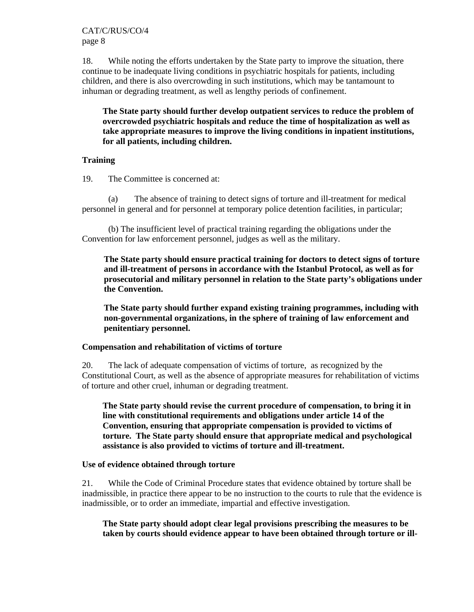18. While noting the efforts undertaken by the State party to improve the situation, there continue to be inadequate living conditions in psychiatric hospitals for patients, including children, and there is also overcrowding in such institutions, which may be tantamount to inhuman or degrading treatment, as well as lengthy periods of confinement.

**The State party should further develop outpatient services to reduce the problem of overcrowded psychiatric hospitals and reduce the time of hospitalization as well as take appropriate measures to improve the living conditions in inpatient institutions, for all patients, including children.** 

## **Training**

19. The Committee is concerned at:

(a) The absence of training to detect signs of torture and ill-treatment for medical personnel in general and for personnel at temporary police detention facilities, in particular;

(b) The insufficient level of practical training regarding the obligations under the Convention for law enforcement personnel, judges as well as the military.

**The State party should ensure practical training for doctors to detect signs of torture and ill-treatment of persons in accordance with the Istanbul Protocol, as well as for prosecutorial and military personnel in relation to the State party's obligations under the Convention.** 

**The State party should further expand existing training programmes, including with non-governmental organizations, in the sphere of training of law enforcement and penitentiary personnel.** 

### **Compensation and rehabilitation of victims of torture**

20. The lack of adequate compensation of victims of torture, as recognized by the Constitutional Court, as well as the absence of appropriate measures for rehabilitation of victims of torture and other cruel, inhuman or degrading treatment.

**The State party should revise the current procedure of compensation, to bring it in line with constitutional requirements and obligations under article 14 of the Convention, ensuring that appropriate compensation is provided to victims of torture. The State party should ensure that appropriate medical and psychological assistance is also provided to victims of torture and ill-treatment.** 

# **Use of evidence obtained through torture**

21. While the Code of Criminal Procedure states that evidence obtained by torture shall be inadmissible, in practice there appear to be no instruction to the courts to rule that the evidence is inadmissible, or to order an immediate, impartial and effective investigation.

**The State party should adopt clear legal provisions prescribing the measures to be taken by courts should evidence appear to have been obtained through torture or ill-**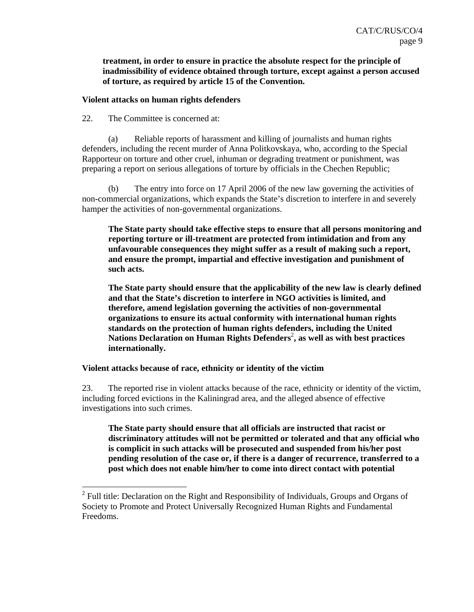**treatment, in order to ensure in practice the absolute respect for the principle of inadmissibility of evidence obtained through torture, except against a person accused of torture, as required by article 15 of the Convention.** 

## **Violent attacks on human rights defenders**

22. The Committee is concerned at:

(a) Reliable reports of harassment and killing of journalists and human rights defenders, including the recent murder of Anna Politkovskaya, who, according to the Special Rapporteur on torture and other cruel, inhuman or degrading treatment or punishment, was preparing a report on serious allegations of torture by officials in the Chechen Republic;

(b) The entry into force on 17 April 2006 of the new law governing the activities of non-commercial organizations, which expands the State's discretion to interfere in and severely hamper the activities of non-governmental organizations.

**The State party should take effective steps to ensure that all persons monitoring and reporting torture or ill-treatment are protected from intimidation and from any unfavourable consequences they might suffer as a result of making such a report, and ensure the prompt, impartial and effective investigation and punishment of such acts.** 

 **The State party should ensure that the applicability of the new law is clearly defined and that the State's discretion to interfere in NGO activities is limited, and therefore, amend legislation governing the activities of non-governmental organizations to ensure its actual conformity with international human rights standards on the protection of human rights defenders, including the United Nations Declaration on Human Rights Defenders**<sup>2</sup> **, as well as with best practices internationally.** 

**Violent attacks because of race, ethnicity or identity of the victim** 

23. The reported rise in violent attacks because of the race, ethnicity or identity of the victim, including forced evictions in the Kaliningrad area, and the alleged absence of effective investigations into such crimes.

**The State party should ensure that all officials are instructed that racist or discriminatory attitudes will not be permitted or tolerated and that any official who is complicit in such attacks will be prosecuted and suspended from his/her post pending resolution of the case or, if there is a danger of recurrence, transferred to a post which does not enable him/her to come into direct contact with potential** 

<sup>&</sup>lt;sup>2</sup> Full title: Declaration on the Right and Responsibility of Individuals, Groups and Organs of Society to Promote and Protect Universally Recognized Human Rights and Fundamental Freedoms.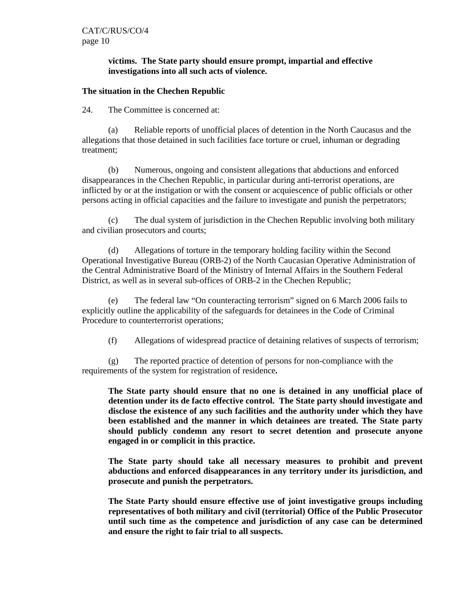## **victims. The State party should ensure prompt, impartial and effective investigations into all such acts of violence.**

## **The situation in the Chechen Republic**

24. The Committee is concerned at:

(a) Reliable reports of unofficial places of detention in the North Caucasus and the allegations that those detained in such facilities face torture or cruel, inhuman or degrading treatment;

(b) Numerous, ongoing and consistent allegations that abductions and enforced disappearances in the Chechen Republic, in particular during anti-terrorist operations, are inflicted by or at the instigation or with the consent or acquiescence of public officials or other persons acting in official capacities and the failure to investigate and punish the perpetrators;

(c) The dual system of jurisdiction in the Chechen Republic involving both military and civilian prosecutors and courts;

(d) Allegations of torture in the temporary holding facility within the Second Operational Investigative Bureau (ORB-2) of the North Caucasian Operative Administration of the Central Administrative Board of the Ministry of Internal Affairs in the Southern Federal District, as well as in several sub-offices of ORB-2 in the Chechen Republic;

(e) The federal law "On counteracting terrorism" signed on 6 March 2006 fails to explicitly outline the applicability of the safeguards for detainees in the Code of Criminal Procedure to counterterrorist operations;

(f) Allegations of widespread practice of detaining relatives of suspects of terrorism;

(g) The reported practice of detention of persons for non-compliance with the requirements of the system for registration of residence**.**

**The State party should ensure that no one is detained in any unofficial place of detention under its de facto effective control. The State party should investigate and disclose the existence of any such facilities and the authority under which they have been established and the manner in which detainees are treated. The State party should publicly condemn any resort to secret detention and prosecute anyone engaged in or complicit in this practice.** 

**The State party should take all necessary measures to prohibit and prevent abductions and enforced disappearances in any territory under its jurisdiction, and prosecute and punish the perpetrators.** 

**The State Party should ensure effective use of joint investigative groups including representatives of both military and civil (territorial) Office of the Public Prosecutor until such time as the competence and jurisdiction of any case can be determined and ensure the right to fair trial to all suspects.**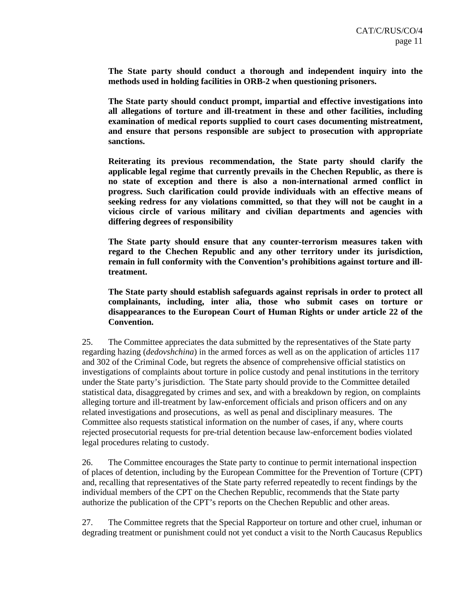**The State party should conduct a thorough and independent inquiry into the methods used in holding facilities in ORB-2 when questioning prisoners.** 

 **The State party should conduct prompt, impartial and effective investigations into all allegations of torture and ill-treatment in these and other facilities, including examination of medical reports supplied to court cases documenting mistreatment, and ensure that persons responsible are subject to prosecution with appropriate sanctions.** 

 **Reiterating its previous recommendation, the State party should clarify the applicable legal regime that currently prevails in the Chechen Republic, as there is no state of exception and there is also a non-international armed conflict in progress. Such clarification could provide individuals with an effective means of seeking redress for any violations committed, so that they will not be caught in a vicious circle of various military and civilian departments and agencies with differing degrees of responsibility** 

 **The State party should ensure that any counter-terrorism measures taken with regard to the Chechen Republic and any other territory under its jurisdiction, remain in full conformity with the Convention's prohibitions against torture and illtreatment.** 

 **The State party should establish safeguards against reprisals in order to protect all complainants, including, inter alia, those who submit cases on torture or disappearances to the European Court of Human Rights or under article 22 of the Convention.** 

25. The Committee appreciates the data submitted by the representatives of the State party regarding hazing (*dedovshchina*) in the armed forces as well as on the application of articles 117 and 302 of the Criminal Code, but regrets the absence of comprehensive official statistics on investigations of complaints about torture in police custody and penal institutions in the territory under the State party's jurisdiction. The State party should provide to the Committee detailed statistical data, disaggregated by crimes and sex, and with a breakdown by region, on complaints alleging torture and ill-treatment by law-enforcement officials and prison officers and on any related investigations and prosecutions, as well as penal and disciplinary measures. The Committee also requests statistical information on the number of cases, if any, where courts rejected prosecutorial requests for pre-trial detention because law-enforcement bodies violated legal procedures relating to custody.

26. The Committee encourages the State party to continue to permit international inspection of places of detention, including by the European Committee for the Prevention of Torture (CPT) and, recalling that representatives of the State party referred repeatedly to recent findings by the individual members of the CPT on the Chechen Republic, recommends that the State party authorize the publication of the CPT's reports on the Chechen Republic and other areas.

27. The Committee regrets that the Special Rapporteur on torture and other cruel, inhuman or degrading treatment or punishment could not yet conduct a visit to the North Caucasus Republics